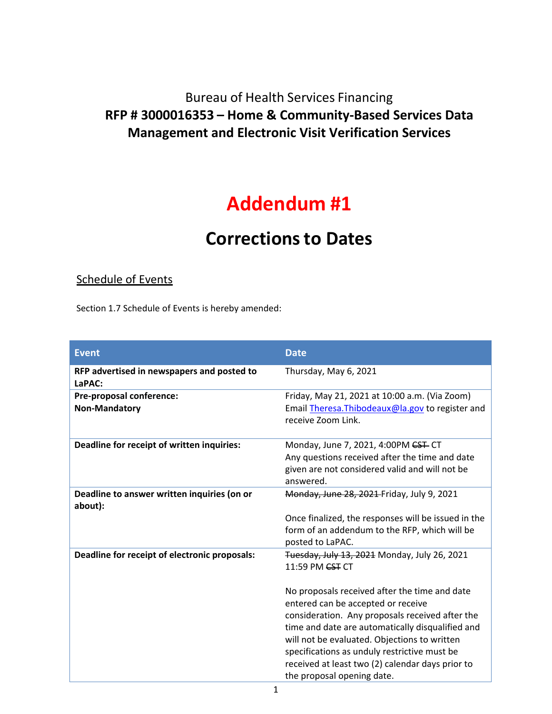## Bureau of Health Services Financing **RFP # 3000016353 – Home & Community-Based Services Data Management and Electronic Visit Verification Services**

## **Addendum #1**

## **Correctionsto Dates**

## Schedule of Events

Section 1.7 Schedule of Events is hereby amended:

| <b>Date</b>                                                                                      |
|--------------------------------------------------------------------------------------------------|
| Thursday, May 6, 2021                                                                            |
| Friday, May 21, 2021 at 10:00 a.m. (Via Zoom)                                                    |
| Email Theresa. Thibodeaux@la.gov to register and                                                 |
| receive Zoom Link.                                                                               |
| Monday, June 7, 2021, 4:00PM <del>CST</del> -CT                                                  |
| Any questions received after the time and date                                                   |
| given are not considered valid and will not be                                                   |
| answered.                                                                                        |
| Monday, June 28, 2021 Friday, July 9, 2021                                                       |
|                                                                                                  |
| Once finalized, the responses will be issued in the                                              |
| form of an addendum to the RFP, which will be                                                    |
| posted to LaPAC.                                                                                 |
| Tuesday, July 13, 2021 Monday, July 26, 2021                                                     |
| 11:59 PM CST CT                                                                                  |
|                                                                                                  |
| No proposals received after the time and date<br>entered can be accepted or receive              |
| consideration. Any proposals received after the                                                  |
| time and date are automatically disqualified and                                                 |
|                                                                                                  |
|                                                                                                  |
| will not be evaluated. Objections to written                                                     |
| specifications as unduly restrictive must be<br>received at least two (2) calendar days prior to |
|                                                                                                  |